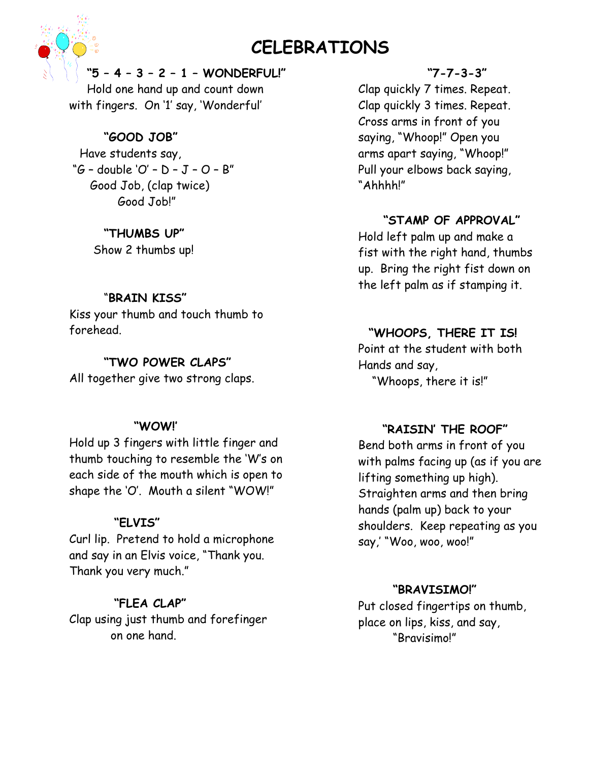# **CELEBRATIONS**

**"5 – 4 – 3 – 2 – 1 – WONDERFUL!"** 

Hold one hand up and count down with fingers. On '1' say, 'Wonderful'

# **"GOOD JOB"**

 Have students say, "G – double 'O' – D – J – O – B" Good Job, (clap twice) Good Job!"

# **"THUMBS UP"**

Show 2 thumbs up!

# "**BRAIN KISS"**

Kiss your thumb and touch thumb to forehead.

# **"TWO POWER CLAPS"**

All together give two strong claps.

## **"WOW!'**

Hold up 3 fingers with little finger and thumb touching to resemble the 'W's on each side of the mouth which is open to shape the 'O'. Mouth a silent "WOW!"

# **"ELVIS"**

Curl lip. Pretend to hold a microphone and say in an Elvis voice, "Thank you. Thank you very much."

# **"FLEA CLAP"**

Clap using just thumb and forefinger on one hand.

## **"7-7-3-3"**

Clap quickly 7 times. Repeat. Clap quickly 3 times. Repeat. Cross arms in front of you saying, "Whoop!" Open you arms apart saying, "Whoop!" Pull your elbows back saying, "Ahhhh!"

# **"STAMP OF APPROVAL"**

Hold left palm up and make a fist with the right hand, thumbs up. Bring the right fist down on the left palm as if stamping it.

# **"WHOOPS, THERE IT IS!**

 Point at the student with both Hands and say, "Whoops, there it is!"

## **"RAISIN' THE ROOF"**

 Bend both arms in front of you with palms facing up (as if you are lifting something up high). Straighten arms and then bring hands (palm up) back to your shoulders. Keep repeating as you say,' "Woo, woo, woo!"

## **"BRAVISIMO!"**

Put closed fingertips on thumb, place on lips, kiss, and say, "Bravisimo!"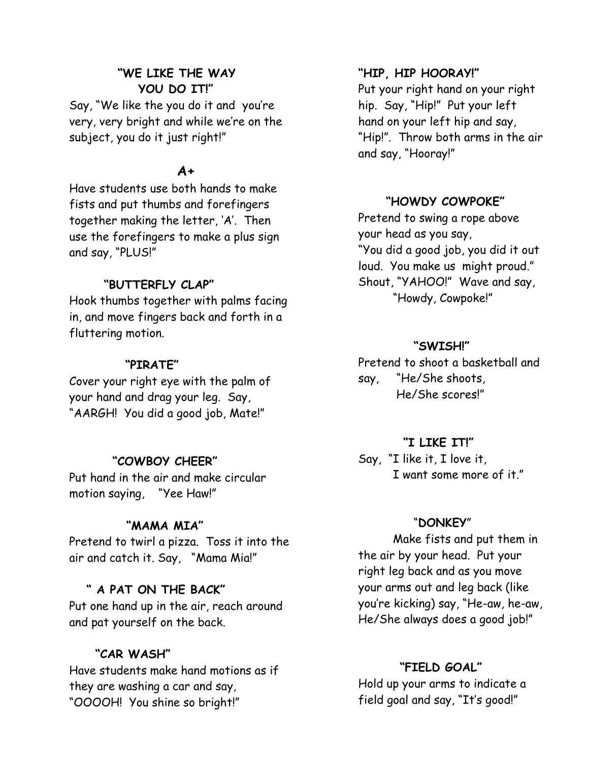# **"WE LIKE THE WAY YOU DO IT!"**

Say, "We like the you do it and you're very, very bright and while we're on the subject, you do it just right!"

# **A+**

Have students use both hands to make fists and put thumbs and forefingers together making the letter, 'A'. Then use the forefingers to make a plus sign and say, "PLUS!"

## **"BUTTERFLY CLAP"**

Hook thumbs together with palms facing in, and move fingers back and forth in a fluttering motion.

#### **"PIRATE"**

Cover your right eye with the palm of your hand and drag your leg. Say, "AARGH! You did a good job, Mate!"

## **"COWBOY CHEER"**

Put hand in the air and make circular motion saying, "Yee Haw!"

#### **"MAMA MIA"**

Pretend to twirl a pizza. Toss it into the air and catch it. Say, "Mama Mia!"

#### **" A PAT ON THE BACK"**

Put one hand up in the air, reach around and pat yourself on the back.

#### **"CAR WASH"**

Have students make hand motions as if they are washing a car and say, "OOOOH! You shine so bright!"

#### **"HIP, HIP HOORAY!"**

 Put your right hand on your right hip. Say, "Hip!" Put your left hand on your left hip and say, "Hip!". Throw both arms in the air and say, "Hooray!"

### **"HOWDY COWPOKE"**

Pretend to swing a rope above your head as you say, "You did a good job, you did it out loud. You make us might proud." Shout, "YAHOO!" Wave and say, "Howdy, Cowpoke!"

#### **"SWISH!"**

Pretend to shoot a basketball and say, "He/She shoots, He/She scores!"

#### **"I LIKE IT!"**

Say, "I like it, I love it, I want some more of it."

#### "**DONKEY**"

 Make fists and put them in the air by your head. Put your right leg back and as you move your arms out and leg back (like you're kicking) say, "He-aw, he-aw, He/She always does a good job!"

### **"FIELD GOAL"**

Hold up your arms to indicate a field goal and say, "It's good!"